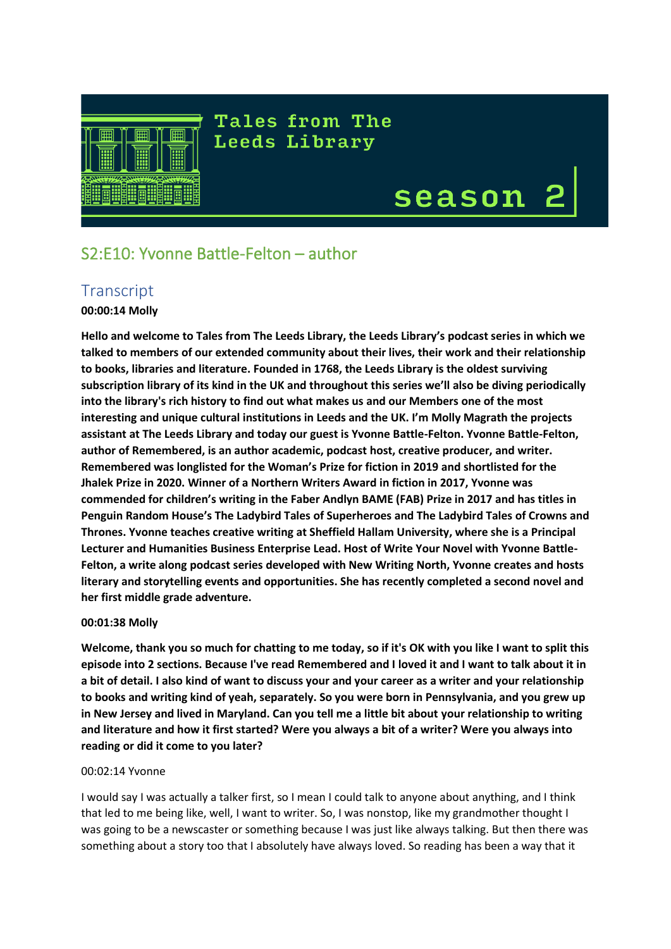

# **Tales from The** Leeds Library

# season

# S2:E10: Yvonne Battle-Felton – author

# **Transcript**

# **00:00:14 Molly**

**Hello and welcome to Tales from The Leeds Library, the Leeds Library's podcast series in which we talked to members of our extended community about their lives, their work and their relationship to books, libraries and literature. Founded in 1768, the Leeds Library is the oldest surviving subscription library of its kind in the UK and throughout this series we'll also be diving periodically into the library's rich history to find out what makes us and our Members one of the most interesting and unique cultural institutions in Leeds and the UK. I'm Molly Magrath the projects assistant at The Leeds Library and today our guest is Yvonne Battle-Felton. Yvonne Battle-Felton, author of Remembered, is an author academic, podcast host, creative producer, and writer. Remembered was longlisted for the Woman's Prize for fiction in 2019 and shortlisted for the Jhalek Prize in 2020. Winner of a Northern Writers Award in fiction in 2017, Yvonne was commended for children's writing in the Faber Andlyn BAME (FAB) Prize in 2017 and has titles in Penguin Random House's The Ladybird Tales of Superheroes and The Ladybird Tales of Crowns and Thrones. Yvonne teaches creative writing at Sheffield Hallam University, where she is a Principal Lecturer and Humanities Business Enterprise Lead. Host of Write Your Novel with Yvonne Battle-Felton, a write along podcast series developed with New Writing North, Yvonne creates and hosts literary and storytelling events and opportunities. She has recently completed a second novel and her first middle grade adventure.**

# **00:01:38 Molly**

**Welcome, thank you so much for chatting to me today, so if it's OK with you like I want to split this episode into 2 sections. Because I've read Remembered and I loved it and I want to talk about it in a bit of detail. I also kind of want to discuss your and your career as a writer and your relationship to books and writing kind of yeah, separately. So you were born in Pennsylvania, and you grew up in New Jersey and lived in Maryland. Can you tell me a little bit about your relationship to writing and literature and how it first started? Were you always a bit of a writer? Were you always into reading or did it come to you later?**

#### 00:02:14 Yvonne

I would say I was actually a talker first, so I mean I could talk to anyone about anything, and I think that led to me being like, well, I want to writer. So, I was nonstop, like my grandmother thought I was going to be a newscaster or something because I was just like always talking. But then there was something about a story too that I absolutely have always loved. So reading has been a way that it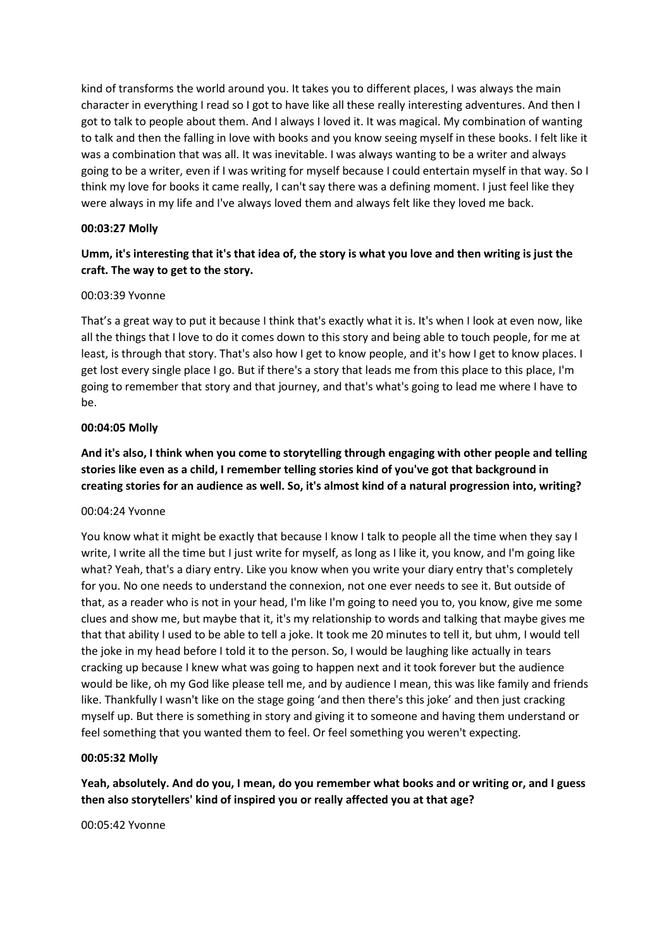kind of transforms the world around you. It takes you to different places, I was always the main character in everything I read so I got to have like all these really interesting adventures. And then I got to talk to people about them. And I always I loved it. It was magical. My combination of wanting to talk and then the falling in love with books and you know seeing myself in these books. I felt like it was a combination that was all. It was inevitable. I was always wanting to be a writer and always going to be a writer, even if I was writing for myself because I could entertain myself in that way. So I think my love for books it came really, I can't say there was a defining moment. I just feel like they were always in my life and I've always loved them and always felt like they loved me back.

# **00:03:27 Molly**

# **Umm, it's interesting that it's that idea of, the story is what you love and then writing is just the craft. The way to get to the story.**

#### 00:03:39 Yvonne

That's a great way to put it because I think that's exactly what it is. It's when I look at even now, like all the things that I love to do it comes down to this story and being able to touch people, for me at least, is through that story. That's also how I get to know people, and it's how I get to know places. I get lost every single place I go. But if there's a story that leads me from this place to this place, I'm going to remember that story and that journey, and that's what's going to lead me where I have to be.

# **00:04:05 Molly**

**And it's also, I think when you come to storytelling through engaging with other people and telling stories like even as a child, I remember telling stories kind of you've got that background in creating stories for an audience as well. So, it's almost kind of a natural progression into, writing?** 

#### 00:04:24 Yvonne

You know what it might be exactly that because I know I talk to people all the time when they say I write, I write all the time but I just write for myself, as long as I like it, you know, and I'm going like what? Yeah, that's a diary entry. Like you know when you write your diary entry that's completely for you. No one needs to understand the connexion, not one ever needs to see it. But outside of that, as a reader who is not in your head, I'm like I'm going to need you to, you know, give me some clues and show me, but maybe that it, it's my relationship to words and talking that maybe gives me that that ability I used to be able to tell a joke. It took me 20 minutes to tell it, but uhm, I would tell the joke in my head before I told it to the person. So, I would be laughing like actually in tears cracking up because I knew what was going to happen next and it took forever but the audience would be like, oh my God like please tell me, and by audience I mean, this was like family and friends like. Thankfully I wasn't like on the stage going 'and then there's this joke' and then just cracking myself up. But there is something in story and giving it to someone and having them understand or feel something that you wanted them to feel. Or feel something you weren't expecting.

#### **00:05:32 Molly**

**Yeah, absolutely. And do you, I mean, do you remember what books and or writing or, and I guess then also storytellers' kind of inspired you or really affected you at that age?**

00:05:42 Yvonne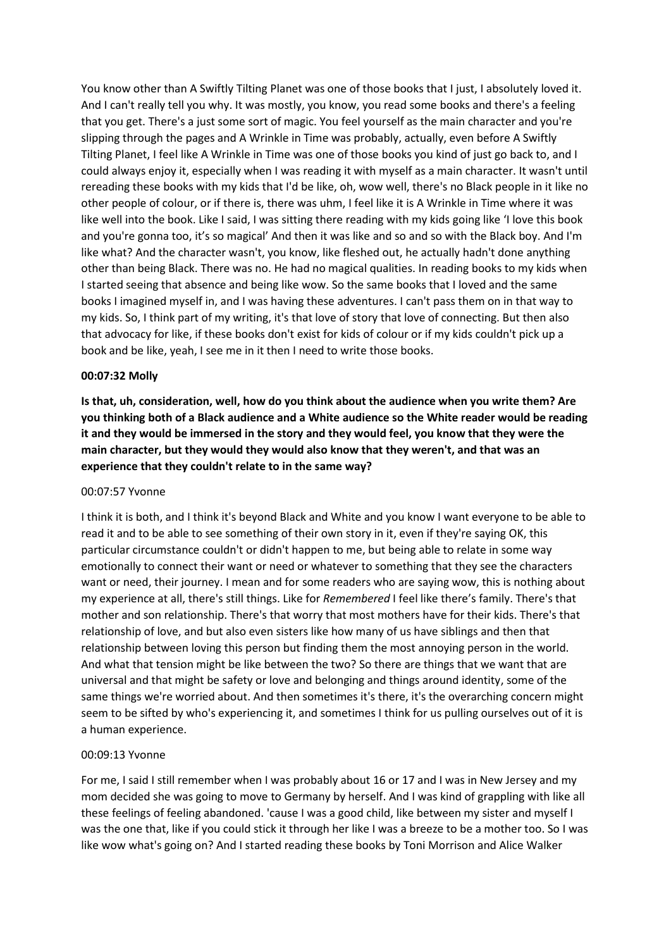You know other than A Swiftly Tilting Planet was one of those books that I just, I absolutely loved it. And I can't really tell you why. It was mostly, you know, you read some books and there's a feeling that you get. There's a just some sort of magic. You feel yourself as the main character and you're slipping through the pages and A Wrinkle in Time was probably, actually, even before A Swiftly Tilting Planet, I feel like A Wrinkle in Time was one of those books you kind of just go back to, and I could always enjoy it, especially when I was reading it with myself as a main character. It wasn't until rereading these books with my kids that I'd be like, oh, wow well, there's no Black people in it like no other people of colour, or if there is, there was uhm, I feel like it is A Wrinkle in Time where it was like well into the book. Like I said, I was sitting there reading with my kids going like 'I love this book and you're gonna too, it's so magical' And then it was like and so and so with the Black boy. And I'm like what? And the character wasn't, you know, like fleshed out, he actually hadn't done anything other than being Black. There was no. He had no magical qualities. In reading books to my kids when I started seeing that absence and being like wow. So the same books that I loved and the same books I imagined myself in, and I was having these adventures. I can't pass them on in that way to my kids. So, I think part of my writing, it's that love of story that love of connecting. But then also that advocacy for like, if these books don't exist for kids of colour or if my kids couldn't pick up a book and be like, yeah, I see me in it then I need to write those books.

#### **00:07:32 Molly**

**Is that, uh, consideration, well, how do you think about the audience when you write them? Are you thinking both of a Black audience and a White audience so the White reader would be reading it and they would be immersed in the story and they would feel, you know that they were the main character, but they would they would also know that they weren't, and that was an experience that they couldn't relate to in the same way?** 

#### 00:07:57 Yvonne

I think it is both, and I think it's beyond Black and White and you know I want everyone to be able to read it and to be able to see something of their own story in it, even if they're saying OK, this particular circumstance couldn't or didn't happen to me, but being able to relate in some way emotionally to connect their want or need or whatever to something that they see the characters want or need, their journey. I mean and for some readers who are saying wow, this is nothing about my experience at all, there's still things. Like for *Remembered* I feel like there's family. There's that mother and son relationship. There's that worry that most mothers have for their kids. There's that relationship of love, and but also even sisters like how many of us have siblings and then that relationship between loving this person but finding them the most annoying person in the world. And what that tension might be like between the two? So there are things that we want that are universal and that might be safety or love and belonging and things around identity, some of the same things we're worried about. And then sometimes it's there, it's the overarching concern might seem to be sifted by who's experiencing it, and sometimes I think for us pulling ourselves out of it is a human experience.

#### 00:09:13 Yvonne

For me, I said I still remember when I was probably about 16 or 17 and I was in New Jersey and my mom decided she was going to move to Germany by herself. And I was kind of grappling with like all these feelings of feeling abandoned. 'cause I was a good child, like between my sister and myself I was the one that, like if you could stick it through her like I was a breeze to be a mother too. So I was like wow what's going on? And I started reading these books by Toni Morrison and Alice Walker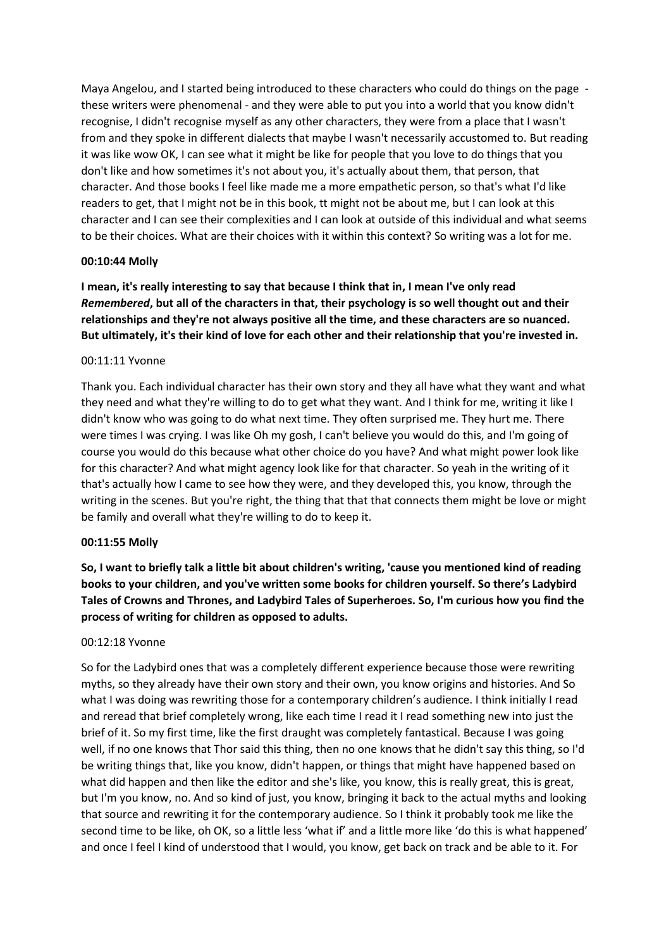Maya Angelou, and I started being introduced to these characters who could do things on the page these writers were phenomenal - and they were able to put you into a world that you know didn't recognise, I didn't recognise myself as any other characters, they were from a place that I wasn't from and they spoke in different dialects that maybe I wasn't necessarily accustomed to. But reading it was like wow OK, I can see what it might be like for people that you love to do things that you don't like and how sometimes it's not about you, it's actually about them, that person, that character. And those books I feel like made me a more empathetic person, so that's what I'd like readers to get, that I might not be in this book, tt might not be about me, but I can look at this character and I can see their complexities and I can look at outside of this individual and what seems to be their choices. What are their choices with it within this context? So writing was a lot for me.

#### **00:10:44 Molly**

**I mean, it's really interesting to say that because I think that in, I mean I've only read** *Remembered***, but all of the characters in that, their psychology is so well thought out and their relationships and they're not always positive all the time, and these characters are so nuanced. But ultimately, it's their kind of love for each other and their relationship that you're invested in.**

#### 00:11:11 Yvonne

Thank you. Each individual character has their own story and they all have what they want and what they need and what they're willing to do to get what they want. And I think for me, writing it like I didn't know who was going to do what next time. They often surprised me. They hurt me. There were times I was crying. I was like Oh my gosh, I can't believe you would do this, and I'm going of course you would do this because what other choice do you have? And what might power look like for this character? And what might agency look like for that character. So yeah in the writing of it that's actually how I came to see how they were, and they developed this, you know, through the writing in the scenes. But you're right, the thing that that that connects them might be love or might be family and overall what they're willing to do to keep it.

#### **00:11:55 Molly**

**So, I want to briefly talk a little bit about children's writing, 'cause you mentioned kind of reading books to your children, and you've written some books for children yourself. So there's Ladybird Tales of Crowns and Thrones, and Ladybird Tales of Superheroes. So, I'm curious how you find the process of writing for children as opposed to adults.**

#### 00:12:18 Yvonne

So for the Ladybird ones that was a completely different experience because those were rewriting myths, so they already have their own story and their own, you know origins and histories. And So what I was doing was rewriting those for a contemporary children's audience. I think initially I read and reread that brief completely wrong, like each time I read it I read something new into just the brief of it. So my first time, like the first draught was completely fantastical. Because I was going well, if no one knows that Thor said this thing, then no one knows that he didn't say this thing, so I'd be writing things that, like you know, didn't happen, or things that might have happened based on what did happen and then like the editor and she's like, you know, this is really great, this is great, but I'm you know, no. And so kind of just, you know, bringing it back to the actual myths and looking that source and rewriting it for the contemporary audience. So I think it probably took me like the second time to be like, oh OK, so a little less 'what if' and a little more like 'do this is what happened' and once I feel I kind of understood that I would, you know, get back on track and be able to it. For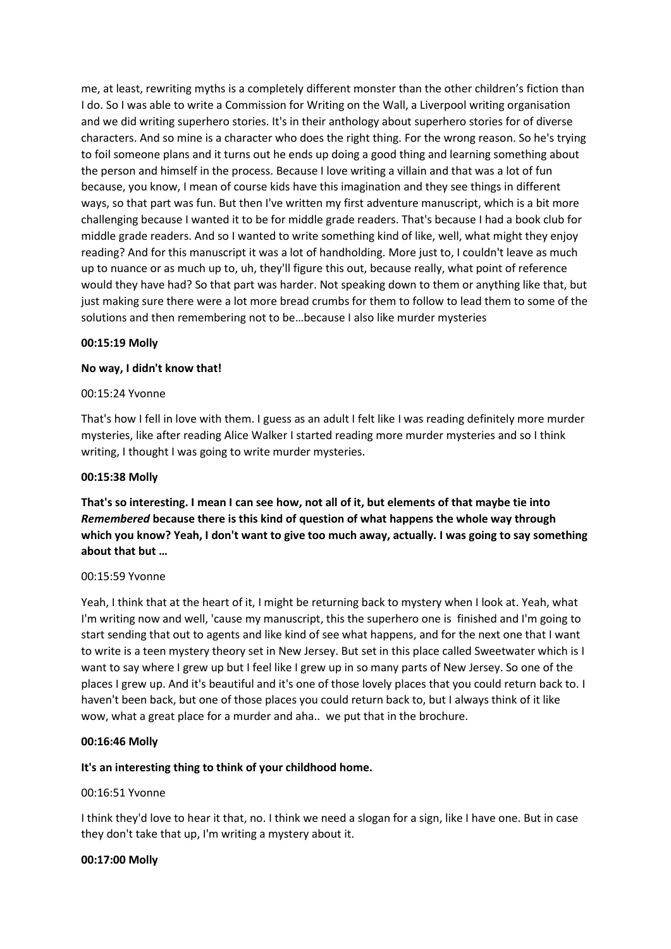me, at least, rewriting myths is a completely different monster than the other children's fiction than I do. So I was able to write a Commission for Writing on the Wall, a Liverpool writing organisation and we did writing superhero stories. It's in their anthology about superhero stories for of diverse characters. And so mine is a character who does the right thing. For the wrong reason. So he's trying to foil someone plans and it turns out he ends up doing a good thing and learning something about the person and himself in the process. Because I love writing a villain and that was a lot of fun because, you know, I mean of course kids have this imagination and they see things in different ways, so that part was fun. But then I've written my first adventure manuscript, which is a bit more challenging because I wanted it to be for middle grade readers. That's because I had a book club for middle grade readers. And so I wanted to write something kind of like, well, what might they enjoy reading? And for this manuscript it was a lot of handholding. More just to, I couldn't leave as much up to nuance or as much up to, uh, they'll figure this out, because really, what point of reference would they have had? So that part was harder. Not speaking down to them or anything like that, but just making sure there were a lot more bread crumbs for them to follow to lead them to some of the solutions and then remembering not to be…because I also like murder mysteries

#### **00:15:19 Molly**

# **No way, I didn't know that!**

#### 00:15:24 Yvonne

That's how I fell in love with them. I guess as an adult I felt like I was reading definitely more murder mysteries, like after reading Alice Walker I started reading more murder mysteries and so I think writing, I thought I was going to write murder mysteries.

#### **00:15:38 Molly**

**That's so interesting. I mean I can see how, not all of it, but elements of that maybe tie into**  *Remembered* **because there is this kind of question of what happens the whole way through which you know? Yeah, I don't want to give too much away, actually. I was going to say something about that but …** 

#### 00:15:59 Yvonne

Yeah, I think that at the heart of it, I might be returning back to mystery when I look at. Yeah, what I'm writing now and well, 'cause my manuscript, this the superhero one is finished and I'm going to start sending that out to agents and like kind of see what happens, and for the next one that I want to write is a teen mystery theory set in New Jersey. But set in this place called Sweetwater which is I want to say where I grew up but I feel like I grew up in so many parts of New Jersey. So one of the places I grew up. And it's beautiful and it's one of those lovely places that you could return back to. I haven't been back, but one of those places you could return back to, but I always think of it like wow, what a great place for a murder and aha.. we put that in the brochure.

#### **00:16:46 Molly**

# **It's an interesting thing to think of your childhood home.**

#### 00:16:51 Yvonne

I think they'd love to hear it that, no. I think we need a slogan for a sign, like I have one. But in case they don't take that up, I'm writing a mystery about it.

#### **00:17:00 Molly**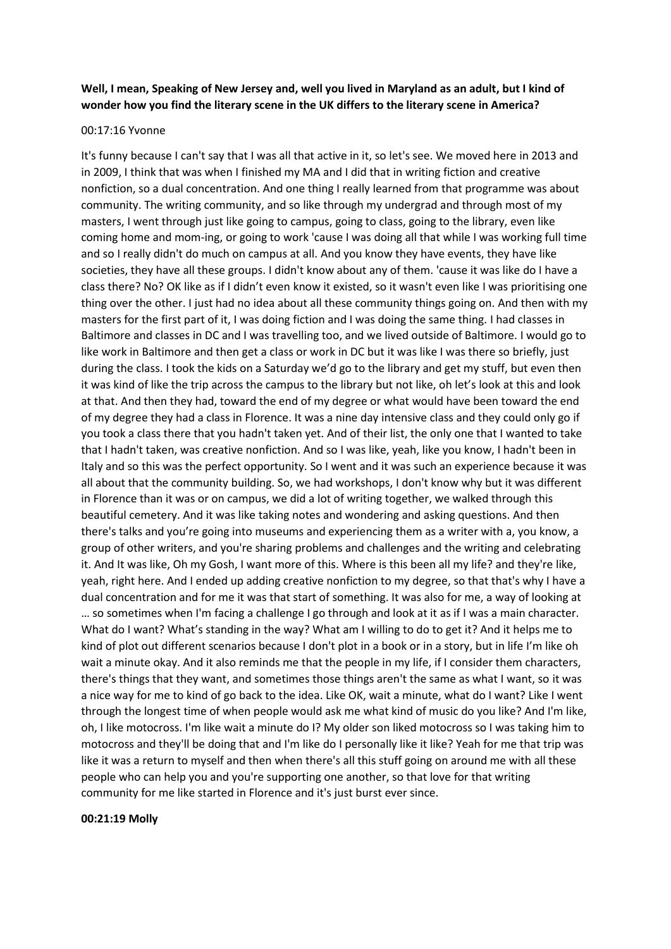# **Well, I mean, Speaking of New Jersey and, well you lived in Maryland as an adult, but I kind of wonder how you find the literary scene in the UK differs to the literary scene in America?**

#### 00:17:16 Yvonne

It's funny because I can't say that I was all that active in it, so let's see. We moved here in 2013 and in 2009, I think that was when I finished my MA and I did that in writing fiction and creative nonfiction, so a dual concentration. And one thing I really learned from that programme was about community. The writing community, and so like through my undergrad and through most of my masters, I went through just like going to campus, going to class, going to the library, even like coming home and mom-ing, or going to work 'cause I was doing all that while I was working full time and so I really didn't do much on campus at all. And you know they have events, they have like societies, they have all these groups. I didn't know about any of them. 'cause it was like do I have a class there? No? OK like as if I didn't even know it existed, so it wasn't even like I was prioritising one thing over the other. I just had no idea about all these community things going on. And then with my masters for the first part of it, I was doing fiction and I was doing the same thing. I had classes in Baltimore and classes in DC and I was travelling too, and we lived outside of Baltimore. I would go to like work in Baltimore and then get a class or work in DC but it was like I was there so briefly, just during the class. I took the kids on a Saturday we'd go to the library and get my stuff, but even then it was kind of like the trip across the campus to the library but not like, oh let's look at this and look at that. And then they had, toward the end of my degree or what would have been toward the end of my degree they had a class in Florence. It was a nine day intensive class and they could only go if you took a class there that you hadn't taken yet. And of their list, the only one that I wanted to take that I hadn't taken, was creative nonfiction. And so I was like, yeah, like you know, I hadn't been in Italy and so this was the perfect opportunity. So I went and it was such an experience because it was all about that the community building. So, we had workshops, I don't know why but it was different in Florence than it was or on campus, we did a lot of writing together, we walked through this beautiful cemetery. And it was like taking notes and wondering and asking questions. And then there's talks and you're going into museums and experiencing them as a writer with a, you know, a group of other writers, and you're sharing problems and challenges and the writing and celebrating it. And It was like, Oh my Gosh, I want more of this. Where is this been all my life? and they're like, yeah, right here. And I ended up adding creative nonfiction to my degree, so that that's why I have a dual concentration and for me it was that start of something. It was also for me, a way of looking at … so sometimes when I'm facing a challenge I go through and look at it as if I was a main character. What do I want? What's standing in the way? What am I willing to do to get it? And it helps me to kind of plot out different scenarios because I don't plot in a book or in a story, but in life I'm like oh wait a minute okay. And it also reminds me that the people in my life, if I consider them characters, there's things that they want, and sometimes those things aren't the same as what I want, so it was a nice way for me to kind of go back to the idea. Like OK, wait a minute, what do I want? Like I went through the longest time of when people would ask me what kind of music do you like? And I'm like, oh, I like motocross. I'm like wait a minute do I? My older son liked motocross so I was taking him to motocross and they'll be doing that and I'm like do I personally like it like? Yeah for me that trip was like it was a return to myself and then when there's all this stuff going on around me with all these people who can help you and you're supporting one another, so that love for that writing community for me like started in Florence and it's just burst ever since.

#### **00:21:19 Molly**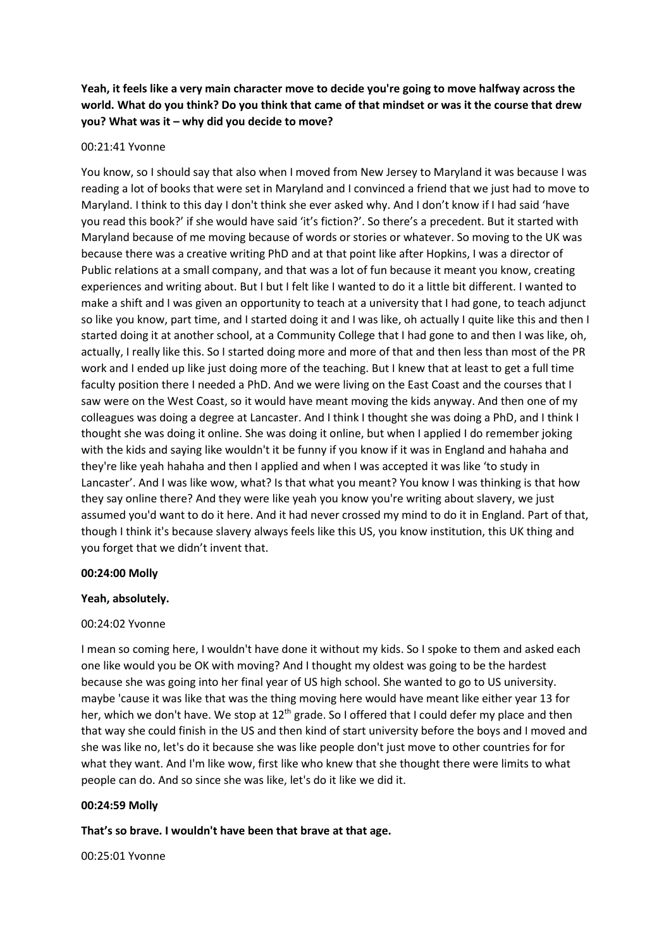**Yeah, it feels like a very main character move to decide you're going to move halfway across the world. What do you think? Do you think that came of that mindset or was it the course that drew you? What was it – why did you decide to move?**

#### 00:21:41 Yvonne

You know, so I should say that also when I moved from New Jersey to Maryland it was because I was reading a lot of books that were set in Maryland and I convinced a friend that we just had to move to Maryland. I think to this day I don't think she ever asked why. And I don't know if I had said 'have you read this book?' if she would have said 'it's fiction?'. So there's a precedent. But it started with Maryland because of me moving because of words or stories or whatever. So moving to the UK was because there was a creative writing PhD and at that point like after Hopkins, I was a director of Public relations at a small company, and that was a lot of fun because it meant you know, creating experiences and writing about. But I but I felt like I wanted to do it a little bit different. I wanted to make a shift and I was given an opportunity to teach at a university that I had gone, to teach adjunct so like you know, part time, and I started doing it and I was like, oh actually I quite like this and then I started doing it at another school, at a Community College that I had gone to and then I was like, oh, actually, I really like this. So I started doing more and more of that and then less than most of the PR work and I ended up like just doing more of the teaching. But I knew that at least to get a full time faculty position there I needed a PhD. And we were living on the East Coast and the courses that I saw were on the West Coast, so it would have meant moving the kids anyway. And then one of my colleagues was doing a degree at Lancaster. And I think I thought she was doing a PhD, and I think I thought she was doing it online. She was doing it online, but when I applied I do remember joking with the kids and saying like wouldn't it be funny if you know if it was in England and hahaha and they're like yeah hahaha and then I applied and when I was accepted it was like 'to study in Lancaster'. And I was like wow, what? Is that what you meant? You know I was thinking is that how they say online there? And they were like yeah you know you're writing about slavery, we just assumed you'd want to do it here. And it had never crossed my mind to do it in England. Part of that, though I think it's because slavery always feels like this US, you know institution, this UK thing and you forget that we didn't invent that.

#### **00:24:00 Molly**

#### **Yeah, absolutely.**

#### 00:24:02 Yvonne

I mean so coming here, I wouldn't have done it without my kids. So I spoke to them and asked each one like would you be OK with moving? And I thought my oldest was going to be the hardest because she was going into her final year of US high school. She wanted to go to US university. maybe 'cause it was like that was the thing moving here would have meant like either year 13 for her, which we don't have. We stop at 12<sup>th</sup> grade. So I offered that I could defer my place and then that way she could finish in the US and then kind of start university before the boys and I moved and she was like no, let's do it because she was like people don't just move to other countries for for what they want. And I'm like wow, first like who knew that she thought there were limits to what people can do. And so since she was like, let's do it like we did it.

#### **00:24:59 Molly**

#### **That's so brave. I wouldn't have been that brave at that age.**

00:25:01 Yvonne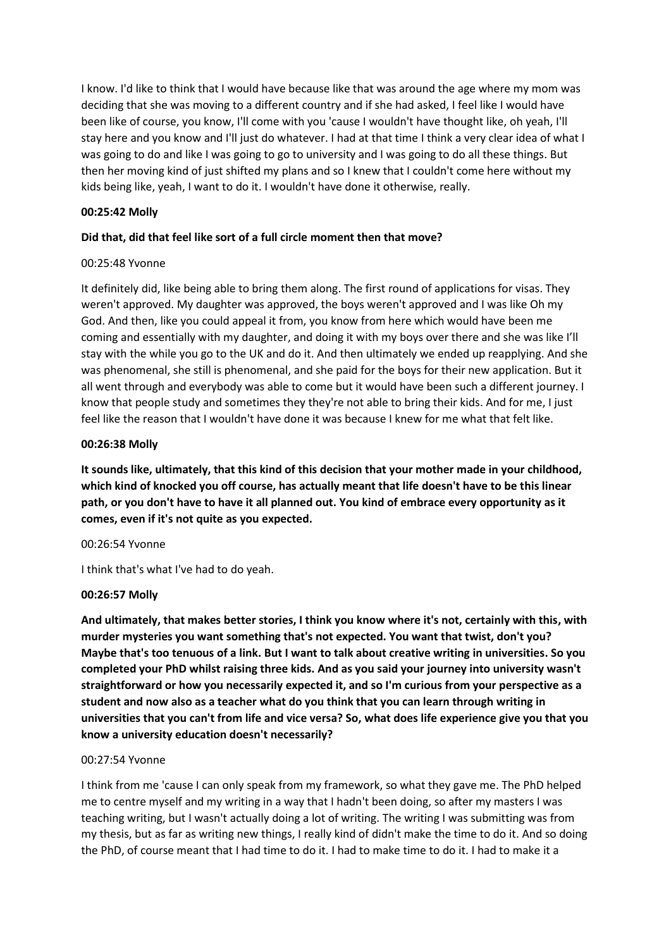I know. I'd like to think that I would have because like that was around the age where my mom was deciding that she was moving to a different country and if she had asked, I feel like I would have been like of course, you know, I'll come with you 'cause I wouldn't have thought like, oh yeah, I'll stay here and you know and I'll just do whatever. I had at that time I think a very clear idea of what I was going to do and like I was going to go to university and I was going to do all these things. But then her moving kind of just shifted my plans and so I knew that I couldn't come here without my kids being like, yeah, I want to do it. I wouldn't have done it otherwise, really.

### **00:25:42 Molly**

# **Did that, did that feel like sort of a full circle moment then that move?**

# 00:25:48 Yvonne

It definitely did, like being able to bring them along. The first round of applications for visas. They weren't approved. My daughter was approved, the boys weren't approved and I was like Oh my God. And then, like you could appeal it from, you know from here which would have been me coming and essentially with my daughter, and doing it with my boys over there and she was like I'll stay with the while you go to the UK and do it. And then ultimately we ended up reapplying. And she was phenomenal, she still is phenomenal, and she paid for the boys for their new application. But it all went through and everybody was able to come but it would have been such a different journey. I know that people study and sometimes they they're not able to bring their kids. And for me, I just feel like the reason that I wouldn't have done it was because I knew for me what that felt like.

# **00:26:38 Molly**

**It sounds like, ultimately, that this kind of this decision that your mother made in your childhood, which kind of knocked you off course, has actually meant that life doesn't have to be this linear path, or you don't have to have it all planned out. You kind of embrace every opportunity as it comes, even if it's not quite as you expected.**

#### 00:26:54 Yvonne

I think that's what I've had to do yeah.

# **00:26:57 Molly**

**And ultimately, that makes better stories, I think you know where it's not, certainly with this, with murder mysteries you want something that's not expected. You want that twist, don't you? Maybe that's too tenuous of a link. But I want to talk about creative writing in universities. So you completed your PhD whilst raising three kids. And as you said your journey into university wasn't straightforward or how you necessarily expected it, and so I'm curious from your perspective as a student and now also as a teacher what do you think that you can learn through writing in universities that you can't from life and vice versa? So, what does life experience give you that you know a university education doesn't necessarily?**

#### 00:27:54 Yvonne

I think from me 'cause I can only speak from my framework, so what they gave me. The PhD helped me to centre myself and my writing in a way that I hadn't been doing, so after my masters I was teaching writing, but I wasn't actually doing a lot of writing. The writing I was submitting was from my thesis, but as far as writing new things, I really kind of didn't make the time to do it. And so doing the PhD, of course meant that I had time to do it. I had to make time to do it. I had to make it a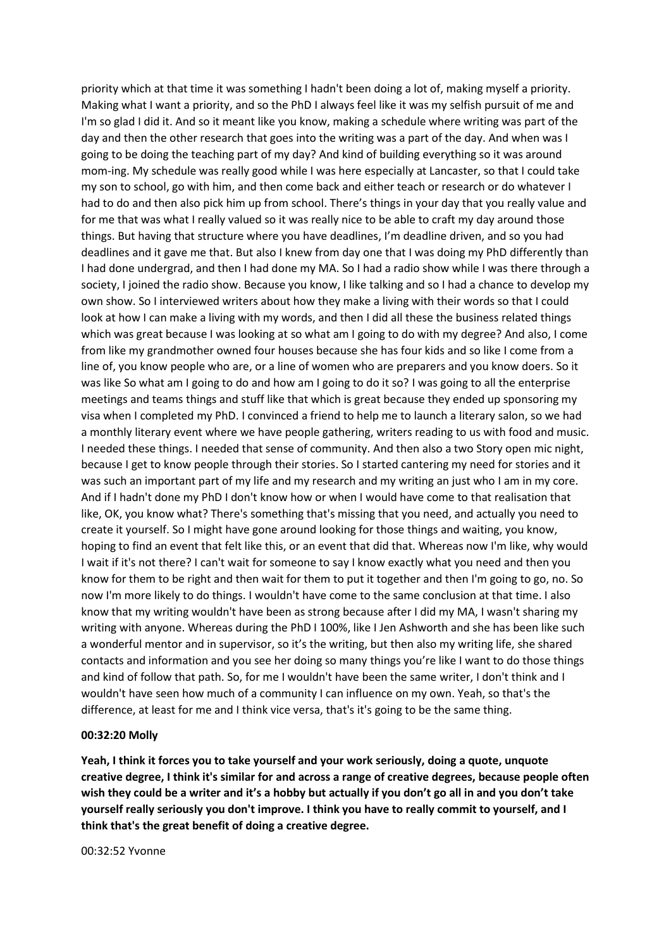priority which at that time it was something I hadn't been doing a lot of, making myself a priority. Making what I want a priority, and so the PhD I always feel like it was my selfish pursuit of me and I'm so glad I did it. And so it meant like you know, making a schedule where writing was part of the day and then the other research that goes into the writing was a part of the day. And when was I going to be doing the teaching part of my day? And kind of building everything so it was around mom-ing. My schedule was really good while I was here especially at Lancaster, so that I could take my son to school, go with him, and then come back and either teach or research or do whatever I had to do and then also pick him up from school. There's things in your day that you really value and for me that was what I really valued so it was really nice to be able to craft my day around those things. But having that structure where you have deadlines, I'm deadline driven, and so you had deadlines and it gave me that. But also I knew from day one that I was doing my PhD differently than I had done undergrad, and then I had done my MA. So I had a radio show while I was there through a society, I joined the radio show. Because you know, I like talking and so I had a chance to develop my own show. So I interviewed writers about how they make a living with their words so that I could look at how I can make a living with my words, and then I did all these the business related things which was great because I was looking at so what am I going to do with my degree? And also, I come from like my grandmother owned four houses because she has four kids and so like I come from a line of, you know people who are, or a line of women who are preparers and you know doers. So it was like So what am I going to do and how am I going to do it so? I was going to all the enterprise meetings and teams things and stuff like that which is great because they ended up sponsoring my visa when I completed my PhD. I convinced a friend to help me to launch a literary salon, so we had a monthly literary event where we have people gathering, writers reading to us with food and music. I needed these things. I needed that sense of community. And then also a two Story open mic night, because I get to know people through their stories. So I started cantering my need for stories and it was such an important part of my life and my research and my writing an just who I am in my core. And if I hadn't done my PhD I don't know how or when I would have come to that realisation that like, OK, you know what? There's something that's missing that you need, and actually you need to create it yourself. So I might have gone around looking for those things and waiting, you know, hoping to find an event that felt like this, or an event that did that. Whereas now I'm like, why would I wait if it's not there? I can't wait for someone to say I know exactly what you need and then you know for them to be right and then wait for them to put it together and then I'm going to go, no. So now I'm more likely to do things. I wouldn't have come to the same conclusion at that time. I also know that my writing wouldn't have been as strong because after I did my MA, I wasn't sharing my writing with anyone. Whereas during the PhD I 100%, like I Jen Ashworth and she has been like such a wonderful mentor and in supervisor, so it's the writing, but then also my writing life, she shared contacts and information and you see her doing so many things you're like I want to do those things and kind of follow that path. So, for me I wouldn't have been the same writer, I don't think and I wouldn't have seen how much of a community I can influence on my own. Yeah, so that's the difference, at least for me and I think vice versa, that's it's going to be the same thing.

#### **00:32:20 Molly**

**Yeah, I think it forces you to take yourself and your work seriously, doing a quote, unquote creative degree, I think it's similar for and across a range of creative degrees, because people often wish they could be a writer and it's a hobby but actually if you don't go all in and you don't take yourself really seriously you don't improve. I think you have to really commit to yourself, and I think that's the great benefit of doing a creative degree.**

00:32:52 Yvonne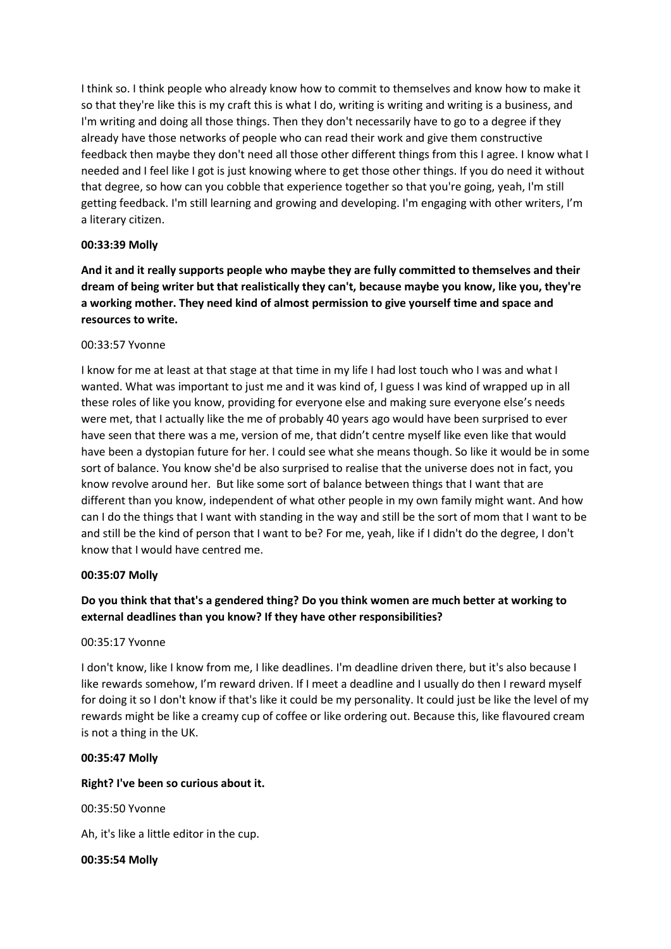I think so. I think people who already know how to commit to themselves and know how to make it so that they're like this is my craft this is what I do, writing is writing and writing is a business, and I'm writing and doing all those things. Then they don't necessarily have to go to a degree if they already have those networks of people who can read their work and give them constructive feedback then maybe they don't need all those other different things from this I agree. I know what I needed and I feel like I got is just knowing where to get those other things. If you do need it without that degree, so how can you cobble that experience together so that you're going, yeah, I'm still getting feedback. I'm still learning and growing and developing. I'm engaging with other writers, I'm a literary citizen.

#### **00:33:39 Molly**

**And it and it really supports people who maybe they are fully committed to themselves and their dream of being writer but that realistically they can't, because maybe you know, like you, they're a working mother. They need kind of almost permission to give yourself time and space and resources to write.**

#### 00:33:57 Yvonne

I know for me at least at that stage at that time in my life I had lost touch who I was and what I wanted. What was important to just me and it was kind of, I guess I was kind of wrapped up in all these roles of like you know, providing for everyone else and making sure everyone else's needs were met, that I actually like the me of probably 40 years ago would have been surprised to ever have seen that there was a me, version of me, that didn't centre myself like even like that would have been a dystopian future for her. I could see what she means though. So like it would be in some sort of balance. You know she'd be also surprised to realise that the universe does not in fact, you know revolve around her. But like some sort of balance between things that I want that are different than you know, independent of what other people in my own family might want. And how can I do the things that I want with standing in the way and still be the sort of mom that I want to be and still be the kind of person that I want to be? For me, yeah, like if I didn't do the degree, I don't know that I would have centred me.

#### **00:35:07 Molly**

# **Do you think that that's a gendered thing? Do you think women are much better at working to external deadlines than you know? If they have other responsibilities?**

#### 00:35:17 Yvonne

I don't know, like I know from me, I like deadlines. I'm deadline driven there, but it's also because I like rewards somehow, I'm reward driven. If I meet a deadline and I usually do then I reward myself for doing it so I don't know if that's like it could be my personality. It could just be like the level of my rewards might be like a creamy cup of coffee or like ordering out. Because this, like flavoured cream is not a thing in the UK.

#### **00:35:47 Molly**

#### **Right? I've been so curious about it.**

00:35:50 Yvonne

Ah, it's like a little editor in the cup.

#### **00:35:54 Molly**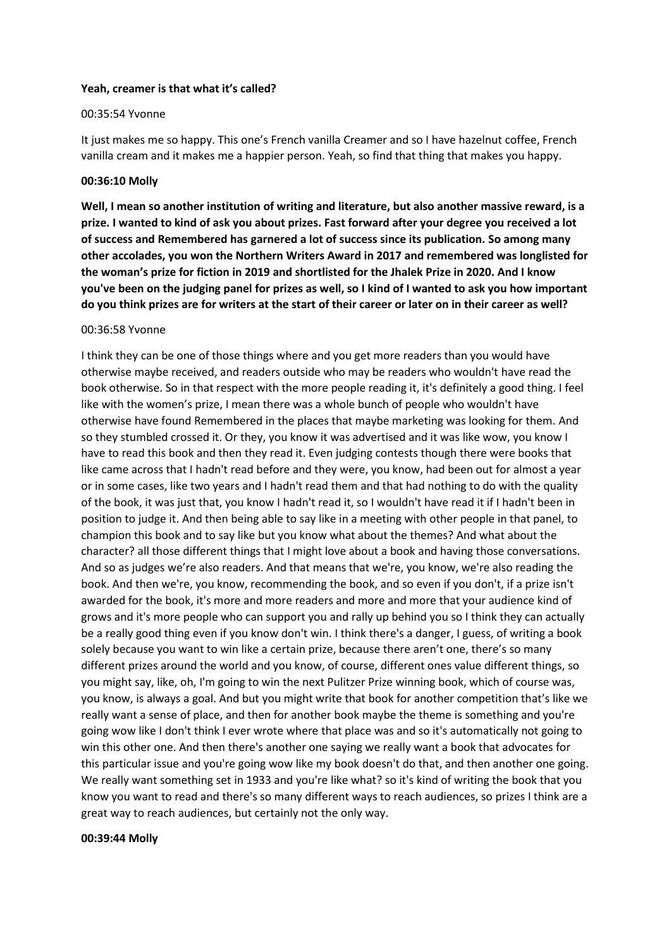#### **Yeah, creamer is that what it's called?**

#### 00:35:54 Yvonne

It just makes me so happy. This one's French vanilla Creamer and so I have hazelnut coffee, French vanilla cream and it makes me a happier person. Yeah, so find that thing that makes you happy.

#### **00:36:10 Molly**

**Well, I mean so another institution of writing and literature, but also another massive reward, is a prize. I wanted to kind of ask you about prizes. Fast forward after your degree you received a lot of success and Remembered has garnered a lot of success since its publication. So among many other accolades, you won the Northern Writers Award in 2017 and remembered was longlisted for the woman's prize for fiction in 2019 and shortlisted for the Jhalek Prize in 2020. And I know you've been on the judging panel for prizes as well, so I kind of I wanted to ask you how important do you think prizes are for writers at the start of their career or later on in their career as well?**

#### 00:36:58 Yvonne

I think they can be one of those things where and you get more readers than you would have otherwise maybe received, and readers outside who may be readers who wouldn't have read the book otherwise. So in that respect with the more people reading it, it's definitely a good thing. I feel like with the women's prize, I mean there was a whole bunch of people who wouldn't have otherwise have found Remembered in the places that maybe marketing was looking for them. And so they stumbled crossed it. Or they, you know it was advertised and it was like wow, you know I have to read this book and then they read it. Even judging contests though there were books that like came across that I hadn't read before and they were, you know, had been out for almost a year or in some cases, like two years and I hadn't read them and that had nothing to do with the quality of the book, it was just that, you know I hadn't read it, so I wouldn't have read it if I hadn't been in position to judge it. And then being able to say like in a meeting with other people in that panel, to champion this book and to say like but you know what about the themes? And what about the character? all those different things that I might love about a book and having those conversations. And so as judges we're also readers. And that means that we're, you know, we're also reading the book. And then we're, you know, recommending the book, and so even if you don't, if a prize isn't awarded for the book, it's more and more readers and more and more that your audience kind of grows and it's more people who can support you and rally up behind you so I think they can actually be a really good thing even if you know don't win. I think there's a danger, I guess, of writing a book solely because you want to win like a certain prize, because there aren't one, there's so many different prizes around the world and you know, of course, different ones value different things, so you might say, like, oh, I'm going to win the next Pulitzer Prize winning book, which of course was, you know, is always a goal. And but you might write that book for another competition that's like we really want a sense of place, and then for another book maybe the theme is something and you're going wow like I don't think I ever wrote where that place was and so it's automatically not going to win this other one. And then there's another one saying we really want a book that advocates for this particular issue and you're going wow like my book doesn't do that, and then another one going. We really want something set in 1933 and you're like what? so it's kind of writing the book that you know you want to read and there's so many different ways to reach audiences, so prizes I think are a great way to reach audiences, but certainly not the only way.

#### **00:39:44 Molly**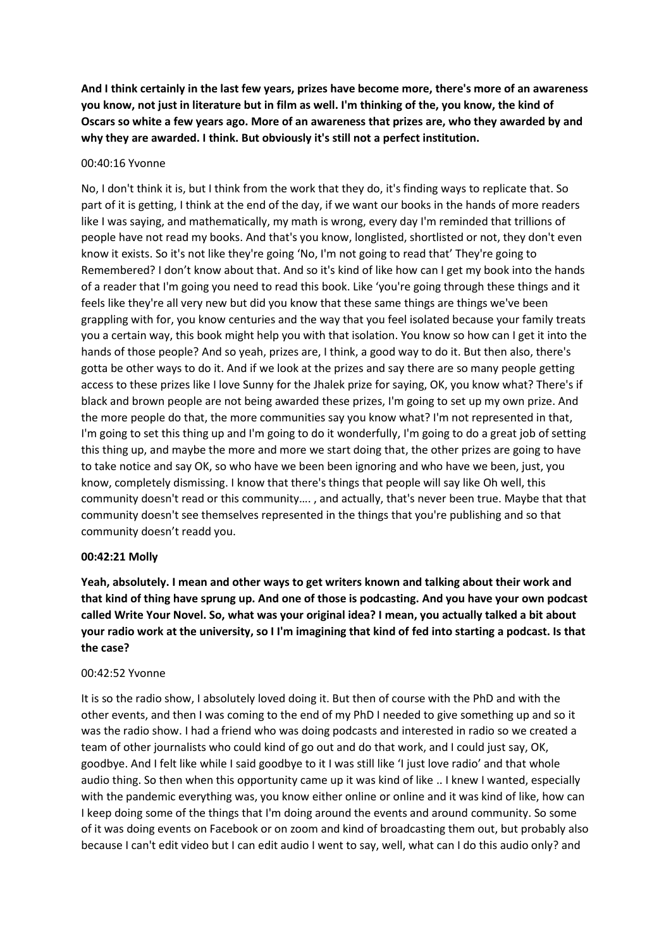**And I think certainly in the last few years, prizes have become more, there's more of an awareness you know, not just in literature but in film as well. I'm thinking of the, you know, the kind of Oscars so white a few years ago. More of an awareness that prizes are, who they awarded by and why they are awarded. I think. But obviously it's still not a perfect institution.**

#### 00:40:16 Yvonne

No, I don't think it is, but I think from the work that they do, it's finding ways to replicate that. So part of it is getting, I think at the end of the day, if we want our books in the hands of more readers like I was saying, and mathematically, my math is wrong, every day I'm reminded that trillions of people have not read my books. And that's you know, longlisted, shortlisted or not, they don't even know it exists. So it's not like they're going 'No, I'm not going to read that' They're going to Remembered? I don't know about that. And so it's kind of like how can I get my book into the hands of a reader that I'm going you need to read this book. Like 'you're going through these things and it feels like they're all very new but did you know that these same things are things we've been grappling with for, you know centuries and the way that you feel isolated because your family treats you a certain way, this book might help you with that isolation. You know so how can I get it into the hands of those people? And so yeah, prizes are, I think, a good way to do it. But then also, there's gotta be other ways to do it. And if we look at the prizes and say there are so many people getting access to these prizes like I love Sunny for the Jhalek prize for saying, OK, you know what? There's if black and brown people are not being awarded these prizes, I'm going to set up my own prize. And the more people do that, the more communities say you know what? I'm not represented in that, I'm going to set this thing up and I'm going to do it wonderfully, I'm going to do a great job of setting this thing up, and maybe the more and more we start doing that, the other prizes are going to have to take notice and say OK, so who have we been been ignoring and who have we been, just, you know, completely dismissing. I know that there's things that people will say like Oh well, this community doesn't read or this community…. , and actually, that's never been true. Maybe that that community doesn't see themselves represented in the things that you're publishing and so that community doesn't readd you.

#### **00:42:21 Molly**

**Yeah, absolutely. I mean and other ways to get writers known and talking about their work and that kind of thing have sprung up. And one of those is podcasting. And you have your own podcast called Write Your Novel. So, what was your original idea? I mean, you actually talked a bit about your radio work at the university, so I I'm imagining that kind of fed into starting a podcast. Is that the case?**

#### 00:42:52 Yvonne

It is so the radio show, I absolutely loved doing it. But then of course with the PhD and with the other events, and then I was coming to the end of my PhD I needed to give something up and so it was the radio show. I had a friend who was doing podcasts and interested in radio so we created a team of other journalists who could kind of go out and do that work, and I could just say, OK, goodbye. And I felt like while I said goodbye to it I was still like 'I just love radio' and that whole audio thing. So then when this opportunity came up it was kind of like .. I knew I wanted, especially with the pandemic everything was, you know either online or online and it was kind of like, how can I keep doing some of the things that I'm doing around the events and around community. So some of it was doing events on Facebook or on zoom and kind of broadcasting them out, but probably also because I can't edit video but I can edit audio I went to say, well, what can I do this audio only? and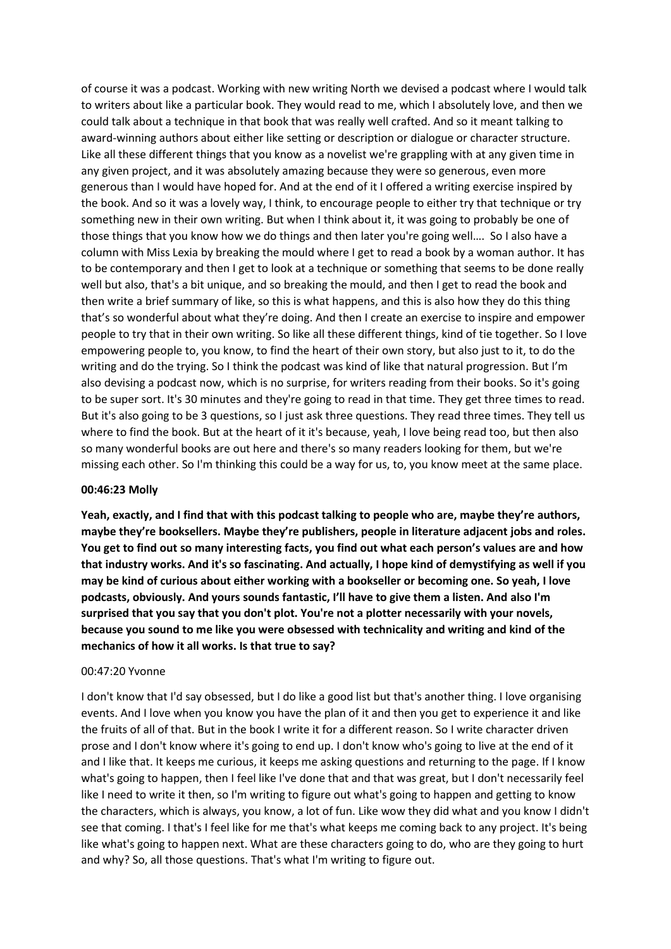of course it was a podcast. Working with new writing North we devised a podcast where I would talk to writers about like a particular book. They would read to me, which I absolutely love, and then we could talk about a technique in that book that was really well crafted. And so it meant talking to award-winning authors about either like setting or description or dialogue or character structure. Like all these different things that you know as a novelist we're grappling with at any given time in any given project, and it was absolutely amazing because they were so generous, even more generous than I would have hoped for. And at the end of it I offered a writing exercise inspired by the book. And so it was a lovely way, I think, to encourage people to either try that technique or try something new in their own writing. But when I think about it, it was going to probably be one of those things that you know how we do things and then later you're going well…. So I also have a column with Miss Lexia by breaking the mould where I get to read a book by a woman author. It has to be contemporary and then I get to look at a technique or something that seems to be done really well but also, that's a bit unique, and so breaking the mould, and then I get to read the book and then write a brief summary of like, so this is what happens, and this is also how they do this thing that's so wonderful about what they're doing. And then I create an exercise to inspire and empower people to try that in their own writing. So like all these different things, kind of tie together. So I love empowering people to, you know, to find the heart of their own story, but also just to it, to do the writing and do the trying. So I think the podcast was kind of like that natural progression. But I'm also devising a podcast now, which is no surprise, for writers reading from their books. So it's going to be super sort. It's 30 minutes and they're going to read in that time. They get three times to read. But it's also going to be 3 questions, so I just ask three questions. They read three times. They tell us where to find the book. But at the heart of it it's because, yeah, I love being read too, but then also so many wonderful books are out here and there's so many readers looking for them, but we're missing each other. So I'm thinking this could be a way for us, to, you know meet at the same place.

#### **00:46:23 Molly**

**Yeah, exactly, and I find that with this podcast talking to people who are, maybe they're authors, maybe they're booksellers. Maybe they're publishers, people in literature adjacent jobs and roles. You get to find out so many interesting facts, you find out what each person's values are and how that industry works. And it's so fascinating. And actually, I hope kind of demystifying as well if you may be kind of curious about either working with a bookseller or becoming one. So yeah, I love podcasts, obviously. And yours sounds fantastic, I'll have to give them a listen. And also I'm surprised that you say that you don't plot. You're not a plotter necessarily with your novels, because you sound to me like you were obsessed with technicality and writing and kind of the mechanics of how it all works. Is that true to say?**

#### 00:47:20 Yvonne

I don't know that I'd say obsessed, but I do like a good list but that's another thing. I love organising events. And I love when you know you have the plan of it and then you get to experience it and like the fruits of all of that. But in the book I write it for a different reason. So I write character driven prose and I don't know where it's going to end up. I don't know who's going to live at the end of it and I like that. It keeps me curious, it keeps me asking questions and returning to the page. If I know what's going to happen, then I feel like I've done that and that was great, but I don't necessarily feel like I need to write it then, so I'm writing to figure out what's going to happen and getting to know the characters, which is always, you know, a lot of fun. Like wow they did what and you know I didn't see that coming. I that's I feel like for me that's what keeps me coming back to any project. It's being like what's going to happen next. What are these characters going to do, who are they going to hurt and why? So, all those questions. That's what I'm writing to figure out.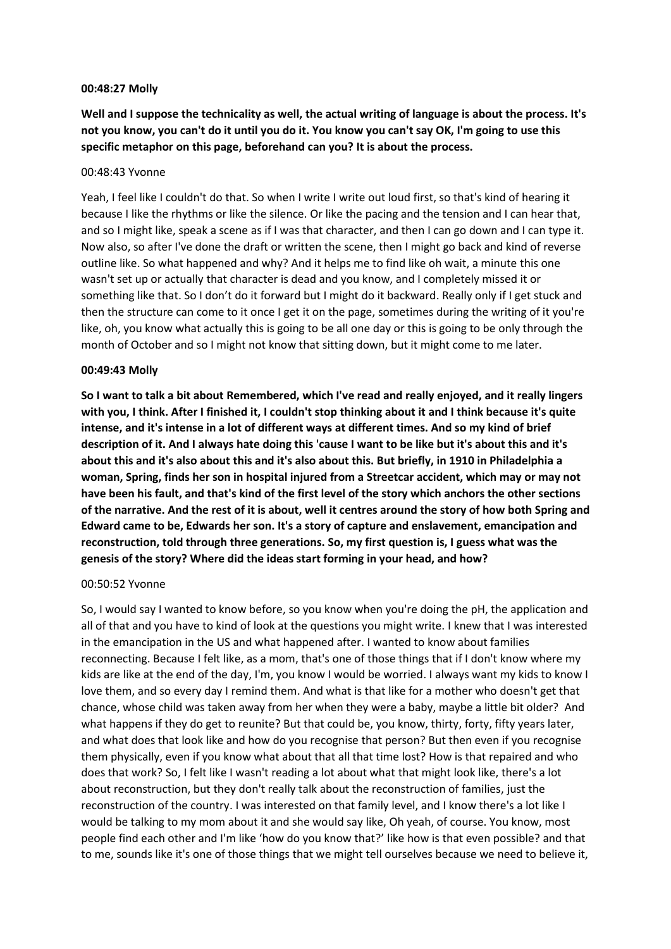#### **00:48:27 Molly**

**Well and I suppose the technicality as well, the actual writing of language is about the process. It's not you know, you can't do it until you do it. You know you can't say OK, I'm going to use this specific metaphor on this page, beforehand can you? It is about the process.**

#### 00:48:43 Yvonne

Yeah, I feel like I couldn't do that. So when I write I write out loud first, so that's kind of hearing it because I like the rhythms or like the silence. Or like the pacing and the tension and I can hear that, and so I might like, speak a scene as if I was that character, and then I can go down and I can type it. Now also, so after I've done the draft or written the scene, then I might go back and kind of reverse outline like. So what happened and why? And it helps me to find like oh wait, a minute this one wasn't set up or actually that character is dead and you know, and I completely missed it or something like that. So I don't do it forward but I might do it backward. Really only if I get stuck and then the structure can come to it once I get it on the page, sometimes during the writing of it you're like, oh, you know what actually this is going to be all one day or this is going to be only through the month of October and so I might not know that sitting down, but it might come to me later.

#### **00:49:43 Molly**

**So I want to talk a bit about Remembered, which I've read and really enjoyed, and it really lingers with you, I think. After I finished it, I couldn't stop thinking about it and I think because it's quite intense, and it's intense in a lot of different ways at different times. And so my kind of brief description of it. And I always hate doing this 'cause I want to be like but it's about this and it's about this and it's also about this and it's also about this. But briefly, in 1910 in Philadelphia a woman, Spring, finds her son in hospital injured from a Streetcar accident, which may or may not have been his fault, and that's kind of the first level of the story which anchors the other sections of the narrative. And the rest of it is about, well it centres around the story of how both Spring and Edward came to be, Edwards her son. It's a story of capture and enslavement, emancipation and reconstruction, told through three generations. So, my first question is, I guess what was the genesis of the story? Where did the ideas start forming in your head, and how?**

#### 00:50:52 Yvonne

So, I would say I wanted to know before, so you know when you're doing the pH, the application and all of that and you have to kind of look at the questions you might write. I knew that I was interested in the emancipation in the US and what happened after. I wanted to know about families reconnecting. Because I felt like, as a mom, that's one of those things that if I don't know where my kids are like at the end of the day, I'm, you know I would be worried. I always want my kids to know I love them, and so every day I remind them. And what is that like for a mother who doesn't get that chance, whose child was taken away from her when they were a baby, maybe a little bit older? And what happens if they do get to reunite? But that could be, you know, thirty, forty, fifty years later, and what does that look like and how do you recognise that person? But then even if you recognise them physically, even if you know what about that all that time lost? How is that repaired and who does that work? So, I felt like I wasn't reading a lot about what that might look like, there's a lot about reconstruction, but they don't really talk about the reconstruction of families, just the reconstruction of the country. I was interested on that family level, and I know there's a lot like I would be talking to my mom about it and she would say like, Oh yeah, of course. You know, most people find each other and I'm like 'how do you know that?' like how is that even possible? and that to me, sounds like it's one of those things that we might tell ourselves because we need to believe it,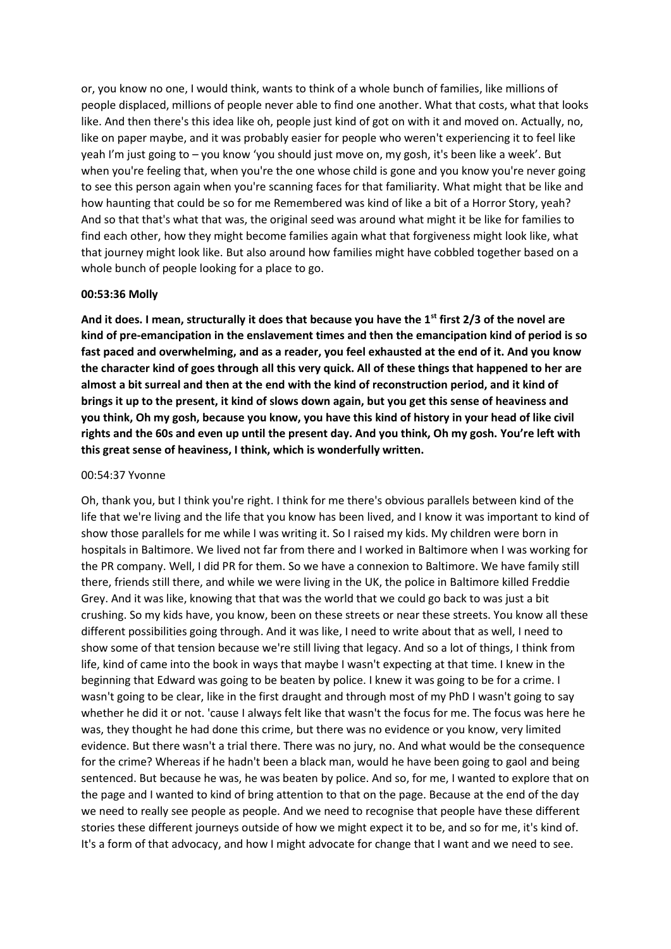or, you know no one, I would think, wants to think of a whole bunch of families, like millions of people displaced, millions of people never able to find one another. What that costs, what that looks like. And then there's this idea like oh, people just kind of got on with it and moved on. Actually, no, like on paper maybe, and it was probably easier for people who weren't experiencing it to feel like yeah I'm just going to – you know 'you should just move on, my gosh, it's been like a week'. But when you're feeling that, when you're the one whose child is gone and you know you're never going to see this person again when you're scanning faces for that familiarity. What might that be like and how haunting that could be so for me Remembered was kind of like a bit of a Horror Story, yeah? And so that that's what that was, the original seed was around what might it be like for families to find each other, how they might become families again what that forgiveness might look like, what that journey might look like. But also around how families might have cobbled together based on a whole bunch of people looking for a place to go.

#### **00:53:36 Molly**

**And it does. I mean, structurally it does that because you have the 1st first 2/3 of the novel are kind of pre-emancipation in the enslavement times and then the emancipation kind of period is so fast paced and overwhelming, and as a reader, you feel exhausted at the end of it. And you know the character kind of goes through all this very quick. All of these things that happened to her are almost a bit surreal and then at the end with the kind of reconstruction period, and it kind of brings it up to the present, it kind of slows down again, but you get this sense of heaviness and you think, Oh my gosh, because you know, you have this kind of history in your head of like civil rights and the 60s and even up until the present day. And you think, Oh my gosh. You're left with this great sense of heaviness, I think, which is wonderfully written.**

#### 00:54:37 Yvonne

Oh, thank you, but I think you're right. I think for me there's obvious parallels between kind of the life that we're living and the life that you know has been lived, and I know it was important to kind of show those parallels for me while I was writing it. So I raised my kids. My children were born in hospitals in Baltimore. We lived not far from there and I worked in Baltimore when I was working for the PR company. Well, I did PR for them. So we have a connexion to Baltimore. We have family still there, friends still there, and while we were living in the UK, the police in Baltimore killed Freddie Grey. And it was like, knowing that that was the world that we could go back to was just a bit crushing. So my kids have, you know, been on these streets or near these streets. You know all these different possibilities going through. And it was like, I need to write about that as well, I need to show some of that tension because we're still living that legacy. And so a lot of things, I think from life, kind of came into the book in ways that maybe I wasn't expecting at that time. I knew in the beginning that Edward was going to be beaten by police. I knew it was going to be for a crime. I wasn't going to be clear, like in the first draught and through most of my PhD I wasn't going to say whether he did it or not. 'cause I always felt like that wasn't the focus for me. The focus was here he was, they thought he had done this crime, but there was no evidence or you know, very limited evidence. But there wasn't a trial there. There was no jury, no. And what would be the consequence for the crime? Whereas if he hadn't been a black man, would he have been going to gaol and being sentenced. But because he was, he was beaten by police. And so, for me, I wanted to explore that on the page and I wanted to kind of bring attention to that on the page. Because at the end of the day we need to really see people as people. And we need to recognise that people have these different stories these different journeys outside of how we might expect it to be, and so for me, it's kind of. It's a form of that advocacy, and how I might advocate for change that I want and we need to see.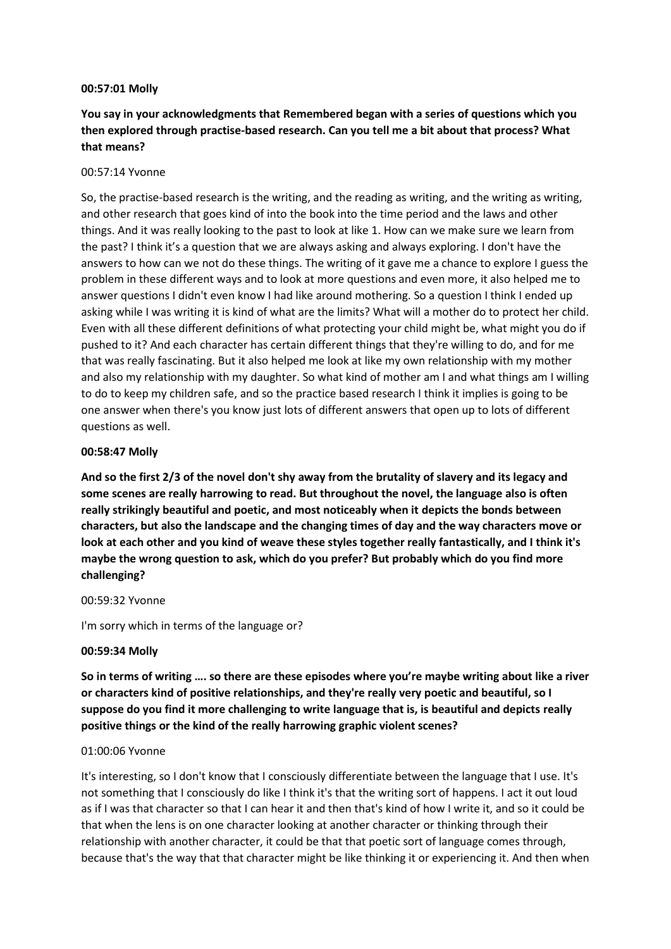#### **00:57:01 Molly**

# **You say in your acknowledgments that Remembered began with a series of questions which you then explored through practise-based research. Can you tell me a bit about that process? What that means?**

#### 00:57:14 Yvonne

So, the practise-based research is the writing, and the reading as writing, and the writing as writing, and other research that goes kind of into the book into the time period and the laws and other things. And it was really looking to the past to look at like 1. How can we make sure we learn from the past? I think it's a question that we are always asking and always exploring. I don't have the answers to how can we not do these things. The writing of it gave me a chance to explore I guess the problem in these different ways and to look at more questions and even more, it also helped me to answer questions I didn't even know I had like around mothering. So a question I think I ended up asking while I was writing it is kind of what are the limits? What will a mother do to protect her child. Even with all these different definitions of what protecting your child might be, what might you do if pushed to it? And each character has certain different things that they're willing to do, and for me that was really fascinating. But it also helped me look at like my own relationship with my mother and also my relationship with my daughter. So what kind of mother am I and what things am I willing to do to keep my children safe, and so the practice based research I think it implies is going to be one answer when there's you know just lots of different answers that open up to lots of different questions as well.

#### **00:58:47 Molly**

**And so the first 2/3 of the novel don't shy away from the brutality of slavery and its legacy and some scenes are really harrowing to read. But throughout the novel, the language also is often really strikingly beautiful and poetic, and most noticeably when it depicts the bonds between characters, but also the landscape and the changing times of day and the way characters move or look at each other and you kind of weave these styles together really fantastically, and I think it's maybe the wrong question to ask, which do you prefer? But probably which do you find more challenging?**

#### 00:59:32 Yvonne

I'm sorry which in terms of the language or?

#### **00:59:34 Molly**

**So in terms of writing …. so there are these episodes where you're maybe writing about like a river or characters kind of positive relationships, and they're really very poetic and beautiful, so I suppose do you find it more challenging to write language that is, is beautiful and depicts really positive things or the kind of the really harrowing graphic violent scenes?**

#### 01:00:06 Yvonne

It's interesting, so I don't know that I consciously differentiate between the language that I use. It's not something that I consciously do like I think it's that the writing sort of happens. I act it out loud as if I was that character so that I can hear it and then that's kind of how I write it, and so it could be that when the lens is on one character looking at another character or thinking through their relationship with another character, it could be that that poetic sort of language comes through, because that's the way that that character might be like thinking it or experiencing it. And then when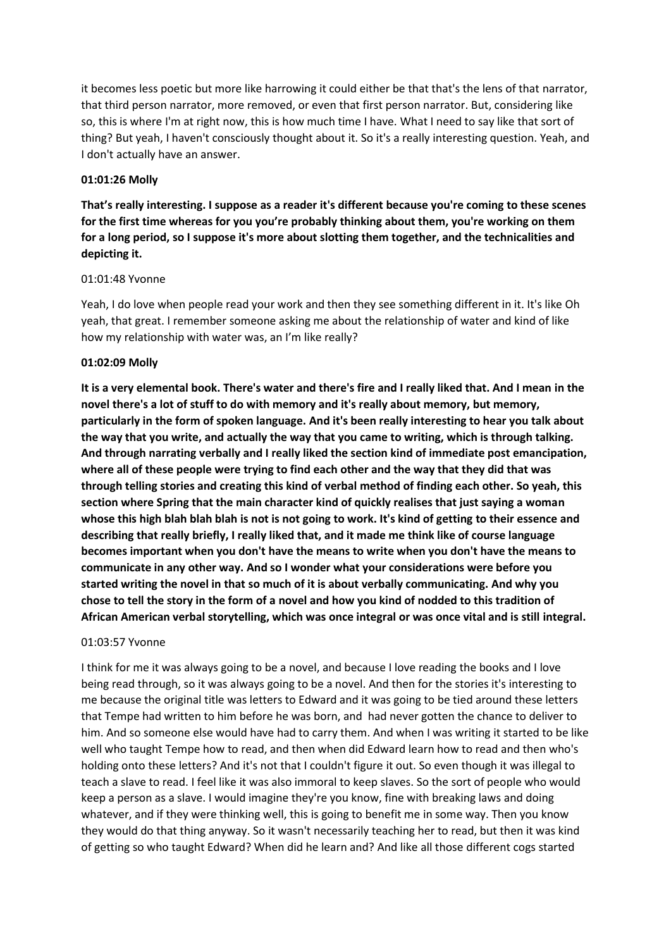it becomes less poetic but more like harrowing it could either be that that's the lens of that narrator, that third person narrator, more removed, or even that first person narrator. But, considering like so, this is where I'm at right now, this is how much time I have. What I need to say like that sort of thing? But yeah, I haven't consciously thought about it. So it's a really interesting question. Yeah, and I don't actually have an answer.

#### **01:01:26 Molly**

**That's really interesting. I suppose as a reader it's different because you're coming to these scenes for the first time whereas for you you're probably thinking about them, you're working on them for a long period, so I suppose it's more about slotting them together, and the technicalities and depicting it.**

# 01:01:48 Yvonne

Yeah, I do love when people read your work and then they see something different in it. It's like Oh yeah, that great. I remember someone asking me about the relationship of water and kind of like how my relationship with water was, an I'm like really?

# **01:02:09 Molly**

**It is a very elemental book. There's water and there's fire and I really liked that. And I mean in the novel there's a lot of stuff to do with memory and it's really about memory, but memory, particularly in the form of spoken language. And it's been really interesting to hear you talk about the way that you write, and actually the way that you came to writing, which is through talking. And through narrating verbally and I really liked the section kind of immediate post emancipation, where all of these people were trying to find each other and the way that they did that was through telling stories and creating this kind of verbal method of finding each other. So yeah, this section where Spring that the main character kind of quickly realises that just saying a woman whose this high blah blah blah is not is not going to work. It's kind of getting to their essence and describing that really briefly, I really liked that, and it made me think like of course language becomes important when you don't have the means to write when you don't have the means to communicate in any other way. And so I wonder what your considerations were before you started writing the novel in that so much of it is about verbally communicating. And why you chose to tell the story in the form of a novel and how you kind of nodded to this tradition of African American verbal storytelling, which was once integral or was once vital and is still integral.** 

#### 01:03:57 Yvonne

I think for me it was always going to be a novel, and because I love reading the books and I love being read through, so it was always going to be a novel. And then for the stories it's interesting to me because the original title was letters to Edward and it was going to be tied around these letters that Tempe had written to him before he was born, and had never gotten the chance to deliver to him. And so someone else would have had to carry them. And when I was writing it started to be like well who taught Tempe how to read, and then when did Edward learn how to read and then who's holding onto these letters? And it's not that I couldn't figure it out. So even though it was illegal to teach a slave to read. I feel like it was also immoral to keep slaves. So the sort of people who would keep a person as a slave. I would imagine they're you know, fine with breaking laws and doing whatever, and if they were thinking well, this is going to benefit me in some way. Then you know they would do that thing anyway. So it wasn't necessarily teaching her to read, but then it was kind of getting so who taught Edward? When did he learn and? And like all those different cogs started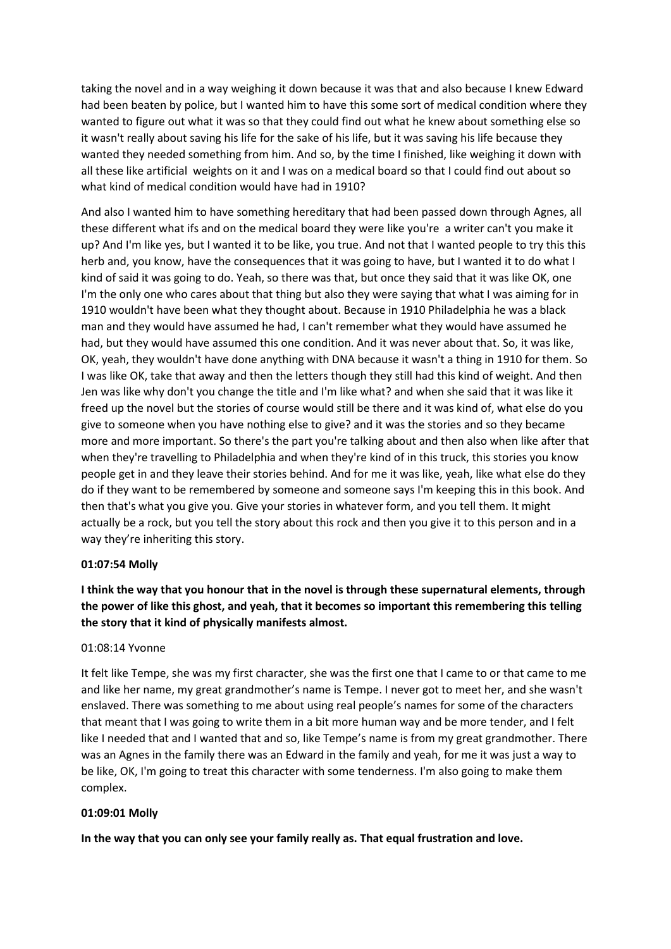taking the novel and in a way weighing it down because it was that and also because I knew Edward had been beaten by police, but I wanted him to have this some sort of medical condition where they wanted to figure out what it was so that they could find out what he knew about something else so it wasn't really about saving his life for the sake of his life, but it was saving his life because they wanted they needed something from him. And so, by the time I finished, like weighing it down with all these like artificial weights on it and I was on a medical board so that I could find out about so what kind of medical condition would have had in 1910?

And also I wanted him to have something hereditary that had been passed down through Agnes, all these different what ifs and on the medical board they were like you're a writer can't you make it up? And I'm like yes, but I wanted it to be like, you true. And not that I wanted people to try this this herb and, you know, have the consequences that it was going to have, but I wanted it to do what I kind of said it was going to do. Yeah, so there was that, but once they said that it was like OK, one I'm the only one who cares about that thing but also they were saying that what I was aiming for in 1910 wouldn't have been what they thought about. Because in 1910 Philadelphia he was a black man and they would have assumed he had, I can't remember what they would have assumed he had, but they would have assumed this one condition. And it was never about that. So, it was like, OK, yeah, they wouldn't have done anything with DNA because it wasn't a thing in 1910 for them. So I was like OK, take that away and then the letters though they still had this kind of weight. And then Jen was like why don't you change the title and I'm like what? and when she said that it was like it freed up the novel but the stories of course would still be there and it was kind of, what else do you give to someone when you have nothing else to give? and it was the stories and so they became more and more important. So there's the part you're talking about and then also when like after that when they're travelling to Philadelphia and when they're kind of in this truck, this stories you know people get in and they leave their stories behind. And for me it was like, yeah, like what else do they do if they want to be remembered by someone and someone says I'm keeping this in this book. And then that's what you give you. Give your stories in whatever form, and you tell them. It might actually be a rock, but you tell the story about this rock and then you give it to this person and in a way they're inheriting this story.

#### **01:07:54 Molly**

# **I think the way that you honour that in the novel is through these supernatural elements, through the power of like this ghost, and yeah, that it becomes so important this remembering this telling the story that it kind of physically manifests almost.**

#### 01:08:14 Yvonne

It felt like Tempe, she was my first character, she was the first one that I came to or that came to me and like her name, my great grandmother's name is Tempe. I never got to meet her, and she wasn't enslaved. There was something to me about using real people's names for some of the characters that meant that I was going to write them in a bit more human way and be more tender, and I felt like I needed that and I wanted that and so, like Tempe's name is from my great grandmother. There was an Agnes in the family there was an Edward in the family and yeah, for me it was just a way to be like, OK, I'm going to treat this character with some tenderness. I'm also going to make them complex.

#### **01:09:01 Molly**

**In the way that you can only see your family really as. That equal frustration and love.**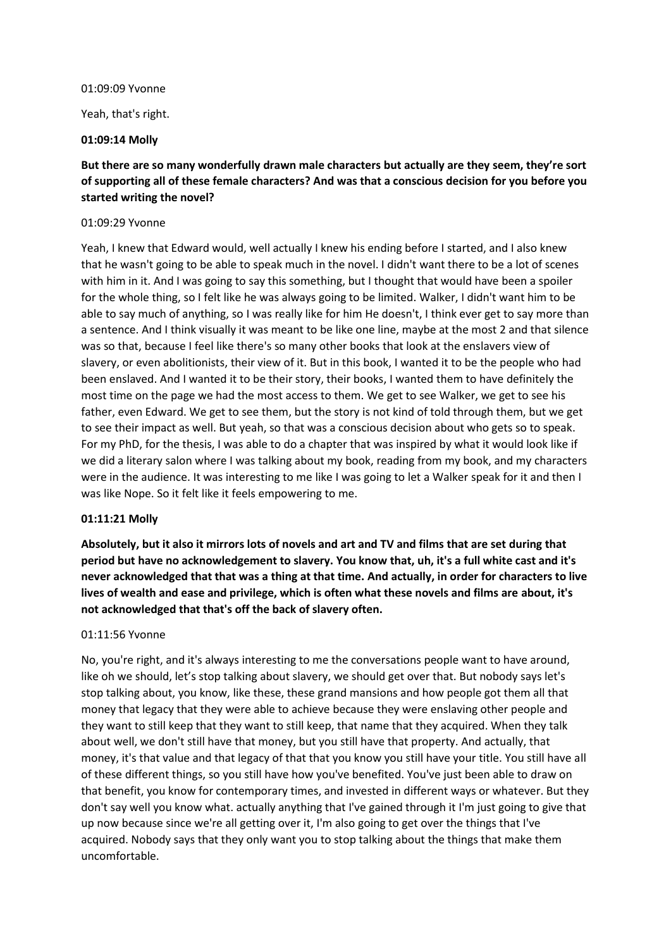#### 01:09:09 Yvonne

Yeah, that's right.

#### **01:09:14 Molly**

# **But there are so many wonderfully drawn male characters but actually are they seem, they're sort of supporting all of these female characters? And was that a conscious decision for you before you started writing the novel?**

#### 01:09:29 Yvonne

Yeah, I knew that Edward would, well actually I knew his ending before I started, and I also knew that he wasn't going to be able to speak much in the novel. I didn't want there to be a lot of scenes with him in it. And I was going to say this something, but I thought that would have been a spoiler for the whole thing, so I felt like he was always going to be limited. Walker, I didn't want him to be able to say much of anything, so I was really like for him He doesn't, I think ever get to say more than a sentence. And I think visually it was meant to be like one line, maybe at the most 2 and that silence was so that, because I feel like there's so many other books that look at the enslavers view of slavery, or even abolitionists, their view of it. But in this book, I wanted it to be the people who had been enslaved. And I wanted it to be their story, their books, I wanted them to have definitely the most time on the page we had the most access to them. We get to see Walker, we get to see his father, even Edward. We get to see them, but the story is not kind of told through them, but we get to see their impact as well. But yeah, so that was a conscious decision about who gets so to speak. For my PhD, for the thesis, I was able to do a chapter that was inspired by what it would look like if we did a literary salon where I was talking about my book, reading from my book, and my characters were in the audience. It was interesting to me like I was going to let a Walker speak for it and then I was like Nope. So it felt like it feels empowering to me.

#### **01:11:21 Molly**

**Absolutely, but it also it mirrors lots of novels and art and TV and films that are set during that period but have no acknowledgement to slavery. You know that, uh, it's a full white cast and it's never acknowledged that that was a thing at that time. And actually, in order for characters to live lives of wealth and ease and privilege, which is often what these novels and films are about, it's not acknowledged that that's off the back of slavery often.**

#### 01:11:56 Yvonne

No, you're right, and it's always interesting to me the conversations people want to have around, like oh we should, let's stop talking about slavery, we should get over that. But nobody says let's stop talking about, you know, like these, these grand mansions and how people got them all that money that legacy that they were able to achieve because they were enslaving other people and they want to still keep that they want to still keep, that name that they acquired. When they talk about well, we don't still have that money, but you still have that property. And actually, that money, it's that value and that legacy of that that you know you still have your title. You still have all of these different things, so you still have how you've benefited. You've just been able to draw on that benefit, you know for contemporary times, and invested in different ways or whatever. But they don't say well you know what. actually anything that I've gained through it I'm just going to give that up now because since we're all getting over it, I'm also going to get over the things that I've acquired. Nobody says that they only want you to stop talking about the things that make them uncomfortable.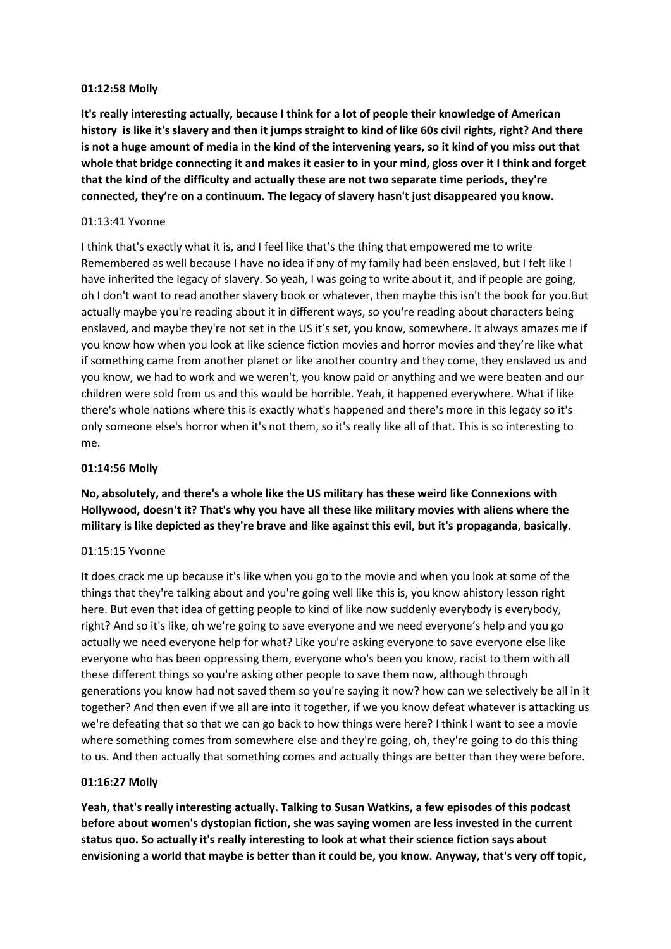#### **01:12:58 Molly**

**It's really interesting actually, because I think for a lot of people their knowledge of American history is like it's slavery and then it jumps straight to kind of like 60s civil rights, right? And there is not a huge amount of media in the kind of the intervening years, so it kind of you miss out that whole that bridge connecting it and makes it easier to in your mind, gloss over it I think and forget that the kind of the difficulty and actually these are not two separate time periods, they're connected, they're on a continuum. The legacy of slavery hasn't just disappeared you know.**

#### 01:13:41 Yvonne

I think that's exactly what it is, and I feel like that's the thing that empowered me to write Remembered as well because I have no idea if any of my family had been enslaved, but I felt like I have inherited the legacy of slavery. So yeah, I was going to write about it, and if people are going, oh I don't want to read another slavery book or whatever, then maybe this isn't the book for you.But actually maybe you're reading about it in different ways, so you're reading about characters being enslaved, and maybe they're not set in the US it's set, you know, somewhere. It always amazes me if you know how when you look at like science fiction movies and horror movies and they're like what if something came from another planet or like another country and they come, they enslaved us and you know, we had to work and we weren't, you know paid or anything and we were beaten and our children were sold from us and this would be horrible. Yeah, it happened everywhere. What if like there's whole nations where this is exactly what's happened and there's more in this legacy so it's only someone else's horror when it's not them, so it's really like all of that. This is so interesting to me.

#### **01:14:56 Molly**

**No, absolutely, and there's a whole like the US military has these weird like Connexions with Hollywood, doesn't it? That's why you have all these like military movies with aliens where the military is like depicted as they're brave and like against this evil, but it's propaganda, basically.**

#### 01:15:15 Yvonne

It does crack me up because it's like when you go to the movie and when you look at some of the things that they're talking about and you're going well like this is, you know ahistory lesson right here. But even that idea of getting people to kind of like now suddenly everybody is everybody, right? And so it's like, oh we're going to save everyone and we need everyone's help and you go actually we need everyone help for what? Like you're asking everyone to save everyone else like everyone who has been oppressing them, everyone who's been you know, racist to them with all these different things so you're asking other people to save them now, although through generations you know had not saved them so you're saying it now? how can we selectively be all in it together? And then even if we all are into it together, if we you know defeat whatever is attacking us we're defeating that so that we can go back to how things were here? I think I want to see a movie where something comes from somewhere else and they're going, oh, they're going to do this thing to us. And then actually that something comes and actually things are better than they were before.

#### **01:16:27 Molly**

**Yeah, that's really interesting actually. Talking to Susan Watkins, a few episodes of this podcast before about women's dystopian fiction, she was saying women are less invested in the current status quo. So actually it's really interesting to look at what their science fiction says about envisioning a world that maybe is better than it could be, you know. Anyway, that's very off topic,**